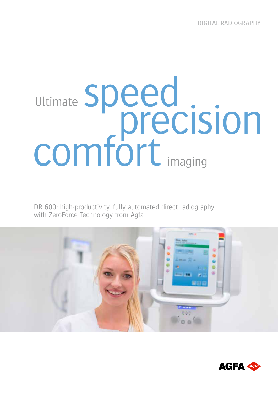## Ultimate Speed<br>
precision<br>
comfort <sub>imaging</sub> Ultimate imaging

DR 600: high-productivity, fully automated direct radiography with ZeroForce Technology from Agfa



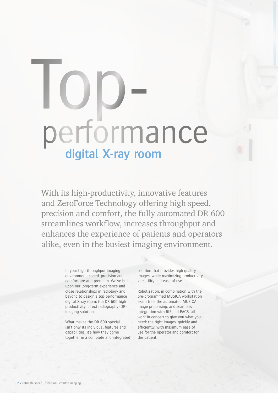## performance Top**digital X-ray room**

With its high-productivity, innovative features and ZeroForce Technology offering high speed, precision and comfort, the fully automated DR 600 streamlines workflow, increases throughput and enhances the experience of patients and operators alike, even in the busiest imaging environment.

> In your high-throughput imaging environment, speed, precision and comfort are at a premium. We've built upon our long-term experience and close relationships in radiology and beyond to design a top-performance digital X-ray room: the DR 600 highproductivity, direct radiography (DR) imaging solution.

> What makes the DR 600 special isn't only its individual features and capabilities: it's how they come together in a complete and integrated

solution that provides high quality images, while maximizing productivity, versatility and ease of use.

Robotization, in combination with the pre-programmed MUSICA workstation exam tree, the automated MUSICA image processing, and seamless integration with RIS and PACS, all work in concert to give you what you need: the right images, quickly and efficiently, with maximum ease of use for the operator and comfort for the patient.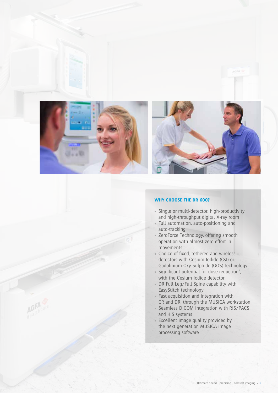



## **WHY CHOOSE THE DR 600?**

- Single or multi-detector, high-productivity and high-throughput digital X-ray room
- Full automation, auto-positioning and auto-tracking
- **ZeroForce Technology, offering smooth** operation with almost zero effort in movements
- Choice of fixed, tethered and wireless detectors with Cesium Iodide (CsI) or Gadolinium Oxy-Sulphide (GOS) technology
- Significant potential for dose reduction\*, with the Cesium Iodide detector
- DR Full Leg/Full Spine capability with EasyStitch technology
- Fast acquisition and integration with CR and DR, through the MUSICA workstation
- Seamless DICOM integration with RIS/PACS and HIS systems
- **Excellent image quality provided by** the next generation MUSICA image processing software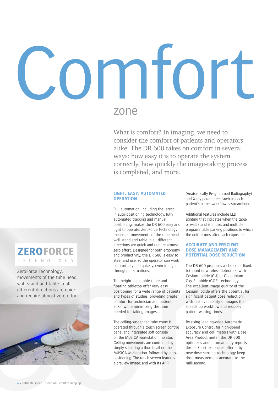## **MIO** zone

What is comfort? In imaging, we need to consider the comfort of patients and operators alike. The DR 600 takes on comfort in several ways: how easy it is to operate the system correctly, how quickly the image-taking process is completed, and more.

## **LIGHT, EASY, AUTOMATED OPERATION**

Full automation, including the latest in auto-positioning technology, fully automated tracking and manual positioning, makes the DR 600 easy and light to operate. ZeroForce Technology means all movements of the tube head, wall stand and table in all different directions are quick and require almost zero effort. Designed for both ergonomy and productivity, the DR 600 is easy to steer and use, so the operator can work comfortably and quickly, even in highthroughput situations.

The height-adjustable table and floating tabletop offer very easy positioning for a wide range of patients and types of studies, providing greater comfort for technician and patient alike, while minimizing the time needed for taking images.

The ceiling-suspended tube crane is operated through a touch screen control panel and integrated soft console on the MUSICA workstation monitor. Ceiling movements are controlled by simply selecting a thumbnail on the MUSICA workstation, followed by autopositioning. The touch screen features a preview image; and with its APR

(Anatomically Programmed Radiography) and X-ray parameters, such as each patient's name, workflow is streamlined.

Additional features include LED lighting that indicates when the table or wall stand is in use, and multiple programmable parking positions to which the unit returns after each exposure.

## **ACCURATE AND EFFICIENT DOSE MANAGEMENT AND POTENTIAL DOSE REDUCTION**

The DR 600 proposes a choice of fixed, tethered or wireless detectors, with Cesium Iodide (CsI) or Gadolinium Oxy-Sulphide (GOS) technology. The excellent image quality of the Cesium Iodide offers the potential for significant patient dose reduction\*, with fast availability of images that speeds up workflow and reduces patient waiting times.

By using leading-edge Automatic Exposure Control for high-speed accuracy and collimators with Dose Area Product meter, the DR 600 optimizes and automatically reports doses. Short exposures offered by new dose sensing technology keep dose measurement accurate to the millisecond.



ZeroForce Technology: movements of the tube head, wall stand and table in all different directions are quick and require almost zero effort.

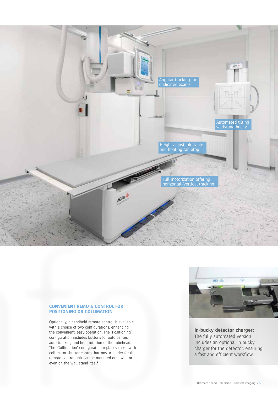

## **CONVENIENT REMOTE CONTROL FOR POSITIONING OR COLLIMATION**

Optionally, a handheld remote control is available, with a choice of two configurations, enhancing the convenient, easy operation. The 'Positioning' configuration includes buttons for auto center, auto tracking and beta rotation of the tubehead. The 'Collimation' configuration replaces those with collimator shutter control buttons. A holder for the remote control unit can be mounted on a wall or even on the wall stand itself.



**In-bucky detector charger:**  The fully automated version includes an optional in-bucky charger for the detector, ensuring a fast and efficient workflow.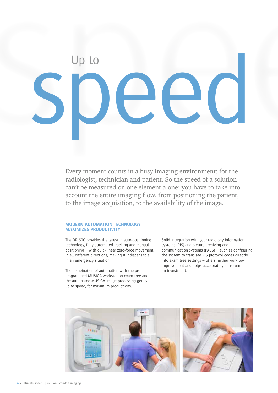

Every moment counts in a busy imaging environment: for the radiologist, technician and patient. So the speed of a solution can't be measured on one element alone: you have to take into account the entire imaging flow, from positioning the patient, to the image acquisition, to the availability of the image.

## **MODERN AUTOMATION TECHNOLOGY MAXIMIZES PRODUCTIVITY**

The DR 600 provides the latest in auto-positioning technology, fully-automated tracking and manual positioning – with quick, near zero-force movement in all different directions, making it indispensable in an emergency situation.

The combination of automation with the preprogrammed MUSICA workstation exam tree and the automated MUSICA image processing gets you up to speed, for maximum productivity.

Solid integration with your radiology information systems (RIS) and picture archiving and communication systems (PACS) – such as configuring the system to translate RIS protocol codes directly into exam tree settings – offers further workflow improvement and helps accelerate your return on investment.

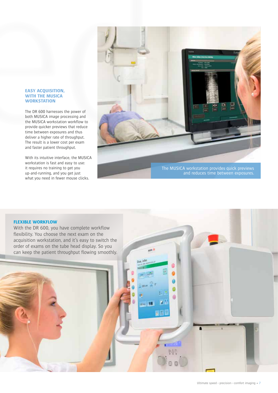## **EASY ACQUISITION, WITH THE MUSICA WORKSTATION**

The DR 600 harnesses the power of both MUSICA image processing and the MUSICA workstation workflow to provide quicker previews that reduce time between exposures and thus deliver a higher rate of throughput. The result is a lower cost per exam and faster patient throughput.

With its intuitive interface, the MUSICA workstation is fast and easy to use: it requires no training to get you up-and-running, and you get just what you need in fewer mouse clicks.



un o

18

## **FLEXIBLE WORKFLOW**

With the DR 600, you have complete workflow flexibility. You choose the next exam on the acquisition workstation, and it's easy to switch the order of exams on the tube head display. So you can keep the patient throughput flowing smoothly.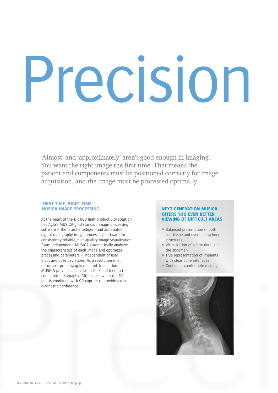## Precision

'Almost' and 'approximately' aren't good enough in imaging. You want the right image the first time. That means the patient and components must be positioned correctly for image acquisition, and the image must be processed optimally.

## **'FIRST TIME, RIGHT TIME' MUSICA IMAGE PROCESSING**

At the heart of the DR 600 high-productivity solution lies Agfa's MUSICA gold standard image processing software – the latest intelligent and automated digital radiography image processing software for consistently reliable, high-quality image visualization. Exam independent, MUSICA automatically analyzes the characteristics of each image and optimizes processing parameters – independent of user input and dose deviations. As a result, minimal re- or post-processing is required. In addition, MUSICA provides a consistent look and feel on the computed radiography (CR) images when the DR unit is combined with CR capture to provide extra diagnostic confidence.

## **NEXT GENERATION MUSICA OFFERS YOU EVEN BETTER VIEWING OF DIFFICULT AREAS**

- $B$ alanced presentation of both soft tissue and overlapping bone structures
- Visualization of subtle details in the abdomen
- True representation of implants with clear bone interfaces
- Confident, comfortable reading

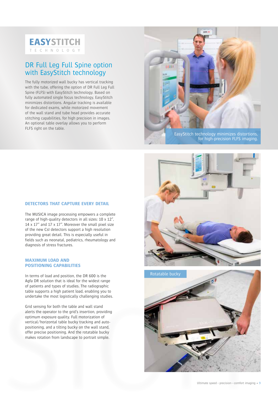

## DR Full Leg Full Spine option with EasyStitch technology

The fully motorized wall bucky has vertical tracking with the tube, offering the option of DR Full Leg Full Spine (FLFS) with EasyStitch technology. Based on fully automated single focus technology, EasyStitch minimizes distortions. Angular tracking is available for dedicated exams, while motorized movement of the wall stand and tube head provides accurate stitching capabilities, for high precision in images. An optional table overlay allows you to perform FLFS right on the table.



EasyStitch technology minimizes distortions, for high-precision FLFS imaging.

## **DETECTORS THAT CAPTURE EVERY DETAIL**

The MUSICA image processing empowers a complete range of high-quality detectors in all sizes: 10 x 12", 14 x 17" and 17 x 17". Moreover the small pixel size of the new CsI detectors support a high resolution providing great detail. This is especially useful in fields such as neonatal, pediatrics, rheumatology and diagnosis of stress fractures.

## **MAXIMUM LOAD AND POSITIONING CAPABILITIES**

In terms of load and position, the DR 600 is the Agfa DR solution that is ideal for the widest range of patients and types of studies. The radiographic table supports a high patient load, enabling you to undertake the most logistically challenging studies.

Grid sensing for both the table and wall stand alerts the operator to the grid's insertion, providing optimum exposure quality. Full motorization of vertical/horizontal table bucky tracking and autopositioning, and a tilting bucky on the wall stand, offer precise positioning. And the rotatable bucky makes rotation from landscape to portrait simple.



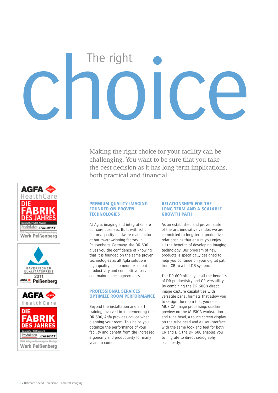# choice

Making the right choice for your facility can be challenging. You want to be sure that you take the best decision as it has long-term implications, both practical and financial.







### **PREMIUM QUALITY IMAGING FOUNDED ON PROVEN TECHNOLOGIES**

At Agfa, imaging and integration are our core business. Built with solid, factory-quality hardware manufactured at our award-winning factory in Peissenberg, Germany, the DR 600 gives you the confidence of knowing that it is founded on the same proven technologies as all Agfa solutions: high quality, equipment, excellent productivity and competitive service and maintenance agreements.

## **PROFESSIONAL SERVICES OPTIMIZE ROOM PERFORMANCE**

Beyond the installation and staff training involved in implementing the DR 600, Agfa provides advice when planning your room. This helps you optimize the performance of your facility and benefit from the increased ergonomy and productivity for many years to come.

## **RELATIONSHIPS FOR THE LONG TERM AND A SCALABLE GROWTH PATH**

As an established and proven stateof-the-art, innovative vendor, we are committed to long-term, productive relationships that ensure you enjoy all the benefits of developing imaging technology. Our program of new products is specifically designed to help you continue on your digital path from CR to a full DR system.

The DR 600 offers you all the benefits of DR productivity and CR versatility. By combining the DR 600's direct image capture capabilities with versatile panel formats that allow you to design the room that you need, MUSICA image processing, quicker preview on the MUSICA workstation and tube head, a touch screen display on the tube head and a user interface with the same look and feel for both CR and DR, the DR 600 enables you to migrate to direct radiography seamlessly.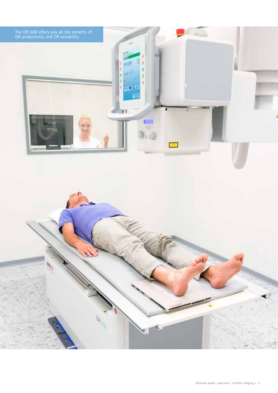